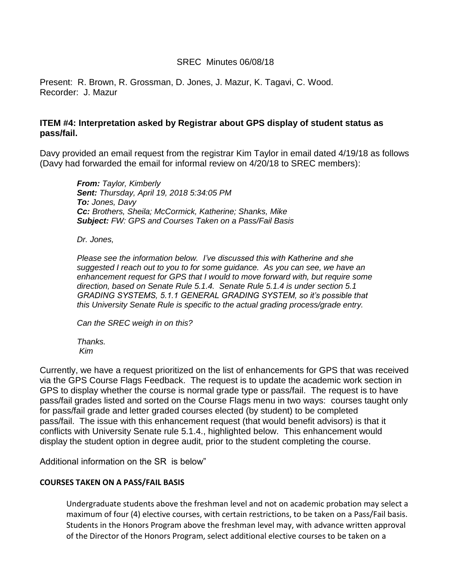## SREC Minutes 06/08/18

Present: R. Brown, R. Grossman, D. Jones, J. Mazur, K. Tagavi, C. Wood. Recorder: J. Mazur

## **ITEM #4: Interpretation asked by Registrar about GPS display of student status as pass/fail.**

Davy provided an email request from the registrar Kim Taylor in email dated 4/19/18 as follows (Davy had forwarded the email for informal review on 4/20/18 to SREC members):

*From: Taylor, Kimberly Sent: Thursday, April 19, 2018 5:34:05 PM To: Jones, Davy Cc: Brothers, Sheila; McCormick, Katherine; Shanks, Mike Subject: FW: GPS and Courses Taken on a Pass/Fail Basis*

*Dr. Jones,*

*Please see the information below. I've discussed this with Katherine and she suggested I reach out to you to for some guidance. As you can see, we have an enhancement request for GPS that I would to move forward with, but require some direction, based on Senate Rule 5.1.4. Senate Rule 5.1.4 is under section 5.1 GRADING SYSTEMS, 5.1.1 GENERAL GRADING SYSTEM, so it's possible that this University Senate Rule is specific to the actual grading process/grade entry.*

*Can the SREC weigh in on this?*

*Thanks. Kim*

Currently, we have a request prioritized on the list of enhancements for GPS that was received via the GPS Course Flags Feedback. The request is to update the academic work section in GPS to display whether the course is normal grade type or pass/fail. The request is to have pass/fail grades listed and sorted on the Course Flags menu in two ways: courses taught only for pass/fail grade and letter graded courses elected (by student) to be completed pass/fail. The issue with this enhancement request (that would benefit advisors) is that it conflicts with University Senate rule 5.1.4., highlighted below. This enhancement would display the student option in degree audit, prior to the student completing the course.

Additional information on the SR is below"

## **COURSES TAKEN ON A PASS/FAIL BASIS**

Undergraduate students above the freshman level and not on academic probation may select a maximum of four (4) elective courses, with certain restrictions, to be taken on a Pass/Fail basis. Students in the Honors Program above the freshman level may, with advance written approval of the Director of the Honors Program, select additional elective courses to be taken on a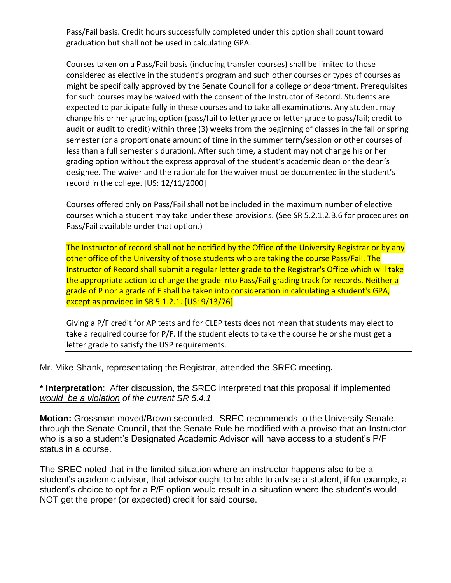Pass/Fail basis. Credit hours successfully completed under this option shall count toward graduation but shall not be used in calculating GPA.

Courses taken on a Pass/Fail basis (including transfer courses) shall be limited to those considered as elective in the student's program and such other courses or types of courses as might be specifically approved by the Senate Council for a college or department. Prerequisites for such courses may be waived with the consent of the Instructor of Record. Students are expected to participate fully in these courses and to take all examinations. Any student may change his or her grading option (pass/fail to letter grade or letter grade to pass/fail; credit to audit or audit to credit) within three (3) weeks from the beginning of classes in the fall or spring semester (or a proportionate amount of time in the summer term/session or other courses of less than a full semester's duration). After such time, a student may not change his or her grading option without the express approval of the student's academic dean or the dean's designee. The waiver and the rationale for the waiver must be documented in the student's record in the college. [US: 12/11/2000]

Courses offered only on Pass/Fail shall not be included in the maximum number of elective courses which a student may take under these provisions. (See SR 5.2.1.2.B.6 for procedures on Pass/Fail available under that option.)

The Instructor of record shall not be notified by the Office of the University Registrar or by any other office of the University of those students who are taking the course Pass/Fail. The Instructor of Record shall submit a regular letter grade to the Registrar's Office which will take the appropriate action to change the grade into Pass/Fail grading track for records. Neither a grade of P nor a grade of F shall be taken into consideration in calculating a student's GPA, except as provided in SR 5.1.2.1. [US: 9/13/76]

Giving a P/F credit for AP tests and for CLEP tests does not mean that students may elect to take a required course for P/F. If the student elects to take the course he or she must get a letter grade to satisfy the USP requirements.

Mr. Mike Shank, representating the Registrar, attended the SREC meeting**.**

**\* Interpretation**: After discussion, the SREC interpreted that this proposal if implemented *would be a violation of the current SR 5.4.1*

**Motion:** Grossman moved/Brown seconded. SREC recommends to the University Senate, through the Senate Council, that the Senate Rule be modified with a proviso that an Instructor who is also a student's Designated Academic Advisor will have access to a student's P/F status in a course.

The SREC noted that in the limited situation where an instructor happens also to be a student's academic advisor, that advisor ought to be able to advise a student, if for example, a student's choice to opt for a P/F option would result in a situation where the student's would NOT get the proper (or expected) credit for said course.